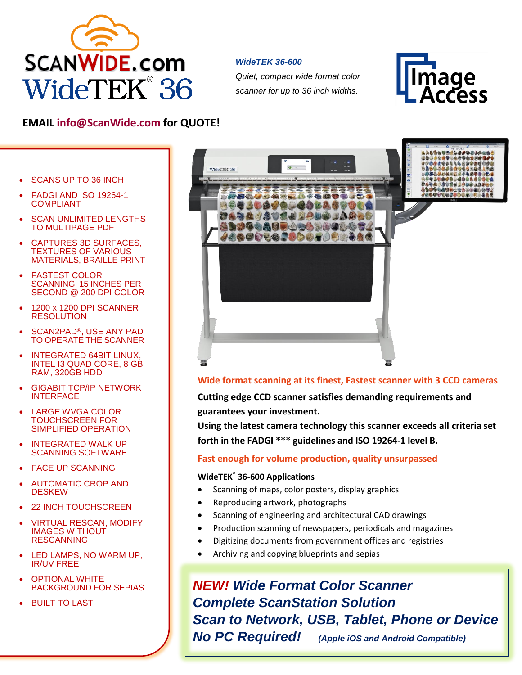

#### *WideTEK 36-600*

*Quiet, compact wide format color scanner for up to 36 inch widths.*



# **EMAIL [info@ScanWide.com](mailto:info@ScanWide.com) for QUOTE!**

- SCANS UP TO 36 INCH
- FADGI AND ISO 19264-1 COMPLIANT
- **SCAN UNLIMITED LENGTHS** TO MULTIPAGE PDF
- CAPTURES 3D SURFACES, TEXTURES OF VARIOUS MATERIALS, BRAILLE PRINT
- FASTEST COLOR SCANNING, 15 INCHES PER SECOND @ 200 DPI COLOR
- 1200 x 1200 DPI SCANNER RESOLUTION
- SCAN2PAD<sup>®</sup>, USE ANY PAD TO OPERATE THE SCANNER
- INTEGRATED 64BIT LINUX, INTEL I3 QUAD CORE, 8 GB RAM, 320GB HDD
- **GIGABIT TCP/IP NETWORK INTERFACE**
- LARGE WVGA COLOR TOUCHSCREEN FOR SIMPLIFIED OPERATION
- INTEGRATED WALK UP SCANNING SOFTWARE
- **FACE UP SCANNING**
- AUTOMATIC CROP AND DESKEW
- 22 INCH TOUCHSCREEN
- VIRTUAL RESCAN, MODIFY IMAGES WITHOUT RESCANNING
- LED LAMPS, NO WARM UP. IR/UV FREE
- OPTIONAL WHITE BACKGROUND FOR SEPIAS
- **BUILT TO LAST**



## **Wide format scanning at its finest, Fastest scanner with 3 CCD cameras**

**Cutting edge CCD scanner satisfies demanding requirements and guarantees your investment.**

**Using the latest camera technology this scanner exceeds all criteria set forth in the FADGI \*\*\* guidelines and ISO 19264-1 level B.**

### **Fast enough for volume production, quality unsurpassed**

#### **WideTEK® 36-600 Applications**

- Scanning of maps, color posters, display graphics
- Reproducing artwork, photographs
- Scanning of engineering and architectural CAD drawings
- Production scanning of newspapers, periodicals and magazines
- Digitizing documents from government offices and registries
- Archiving and copying blueprints and sepias

*NEW! Wide Format Color Scanner Complete ScanStation Solution Scan to Network, USB, Tablet, Phone or Device No PC Required! (Apple iOS and Android Compatible)*